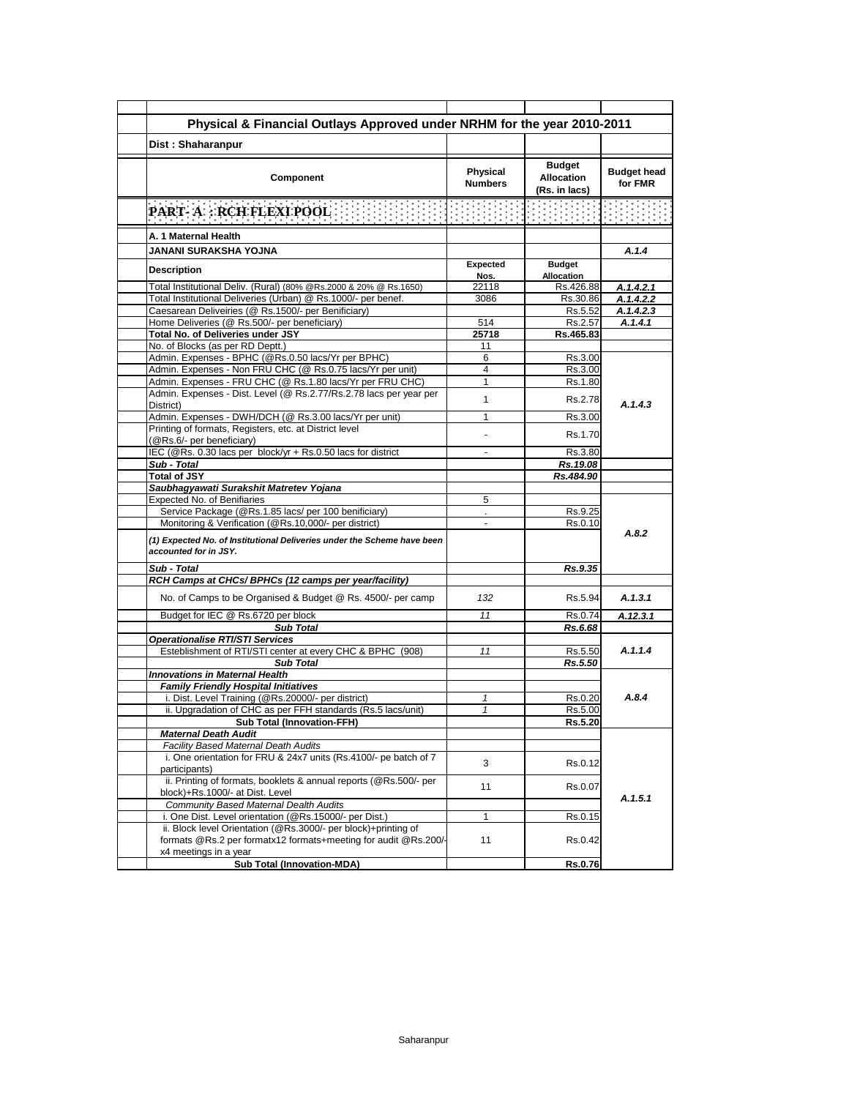| Physical & Financial Outlays Approved under NRHM for the year 2010-2011                                                           |                            |                                                     |                               |
|-----------------------------------------------------------------------------------------------------------------------------------|----------------------------|-----------------------------------------------------|-------------------------------|
| Dist: Shaharanpur                                                                                                                 |                            |                                                     |                               |
| Component                                                                                                                         | Physical<br><b>Numbers</b> | <b>Budget</b><br><b>Allocation</b><br>(Rs. in lacs) | <b>Budget head</b><br>for FMR |
| the contract of the contract of<br><b>Contract Contract</b><br>PART-A: RCH FLEXI POOL                                             |                            |                                                     |                               |
| A. 1 Maternal Health                                                                                                              |                            |                                                     |                               |
| JANANI SURAKSHA YOJNA                                                                                                             |                            |                                                     | A.1.4                         |
| <b>Description</b>                                                                                                                | <b>Expected</b><br>Nos.    | <b>Budget</b><br>Allocation                         |                               |
| Total Institutional Deliv. (Rural) (80% @Rs.2000 & 20% @ Rs.1650)                                                                 | 22118                      | Rs.426.88                                           | A.1.4.2.1                     |
| Total Institutional Deliveries (Urban) @ Rs.1000/- per benef.                                                                     | 3086                       | Rs.30.86                                            | A.1.4.2.2                     |
| Caesarean Deliveiries (@ Rs.1500/- per Benificiary)                                                                               |                            | Rs.5.52                                             | A.1.4.2.3                     |
| Home Deliveries (@ Rs.500/- per beneficiary)<br>Total No. of Deliveries under JSY                                                 | 514                        | Rs.2.57                                             | A.1.4.1                       |
| No. of Blocks (as per RD Deptt.)                                                                                                  | 25718<br>11                | Rs.465.83                                           |                               |
| Admin. Expenses - BPHC (@Rs.0.50 lacs/Yr per BPHC)                                                                                | 6                          | Rs.3.00                                             |                               |
| Admin. Expenses - Non FRU CHC (@ Rs.0.75 lacs/Yr per unit)                                                                        | 4                          | Rs.3.00                                             |                               |
| Admin. Expenses - FRU CHC (@ Rs.1.80 lacs/Yr per FRU CHC)                                                                         | 1                          | Rs.1.80                                             |                               |
| Admin. Expenses - Dist. Level (@ Rs.2.77/Rs.2.78 lacs per year per<br>District)                                                   | 1                          | Rs.2.78                                             | A.1.4.3                       |
| Admin. Expenses - DWH/DCH (@ Rs.3.00 lacs/Yr per unit)                                                                            | 1                          | Rs.3.00                                             |                               |
| Printing of formats, Registers, etc. at District level<br>(@Rs.6/- per beneficiary)                                               |                            | Rs.1.70                                             |                               |
| IEC (@Rs. 0.30 lacs per block/yr + Rs.0.50 lacs for district                                                                      |                            | Rs.3.80                                             |                               |
| Sub - Total                                                                                                                       |                            | Rs.19.08                                            |                               |
| <b>Total of JSY</b>                                                                                                               |                            | Rs.484.90                                           |                               |
| Saubhagyawati Surakshit Matretev Yojana                                                                                           |                            |                                                     |                               |
| Expected No. of Benifiaries                                                                                                       | 5                          |                                                     |                               |
| Service Package (@Rs.1.85 lacs/ per 100 benificiary)<br>Monitoring & Verification (@Rs.10,000/- per district)                     |                            | Rs.9.25<br>Rs.0.10                                  |                               |
| (1) Expected No. of Institutional Deliveries under the Scheme have been<br>accounted for in JSY.                                  |                            |                                                     | A.8.2                         |
| Sub - Total                                                                                                                       |                            | Rs.9.35                                             |                               |
| RCH Camps at CHCs/ BPHCs (12 camps per year/facility)                                                                             |                            |                                                     |                               |
| No. of Camps to be Organised & Budget @ Rs. 4500/- per camp                                                                       | 132                        | Rs 5.94                                             | A.1.3.1                       |
| Budget for IEC @ Rs.6720 per block                                                                                                | 11                         | Rs.0.74                                             | A.12.3.1                      |
| <b>Sub Total</b>                                                                                                                  |                            | Rs.6.68                                             |                               |
| <b>Operationalise RTI/STI Services</b>                                                                                            |                            |                                                     |                               |
| Esteblishment of RTI/STI center at every CHC & BPHC (908)                                                                         | 11                         | Rs.5.50                                             | A.1.1.4                       |
| <b>Sub Total</b>                                                                                                                  |                            | Rs.5.50                                             |                               |
| <b>Innovations in Maternal Health</b>                                                                                             |                            |                                                     |                               |
| <b>Family Friendly Hospital Initiatives</b>                                                                                       |                            |                                                     | A.8.4                         |
| i. Dist. Level Training (@Rs.20000/- per district)<br>ii. Upgradation of CHC as per FFH standards (Rs.5 lacs/unit)                | 1<br>$\mathbf{1}$          | Rs.0.20<br>Rs.5.00                                  |                               |
| Sub Total (Innovation-FFH)                                                                                                        |                            | Rs.5.20                                             |                               |
| <b>Maternal Death Audit</b>                                                                                                       |                            |                                                     |                               |
| <b>Facility Based Maternal Death Audits</b>                                                                                       |                            |                                                     |                               |
| i. One orientation for FRU & 24x7 units (Rs.4100/- pe batch of 7<br>participants)                                                 | 3                          | Rs.0.12                                             |                               |
| ii. Printing of formats, booklets & annual reports (@Rs.500/- per<br>block)+Rs.1000/- at Dist. Level                              | 11                         | Rs.0.07                                             |                               |
| Community Based Maternal Dealth Audits                                                                                            |                            |                                                     | A.1.5.1                       |
| i. One Dist. Level orientation (@Rs.15000/- per Dist.)                                                                            | 1                          | Rs.0.15                                             |                               |
| ii. Block level Orientation (@Rs.3000/- per block)+printing of<br>formats @Rs.2 per formatx12 formats+meeting for audit @Rs.200/- | 11                         | Rs.0.42                                             |                               |
| x4 meetings in a year                                                                                                             |                            |                                                     |                               |
| Sub Total (Innovation-MDA)                                                                                                        |                            | Rs.0.76                                             |                               |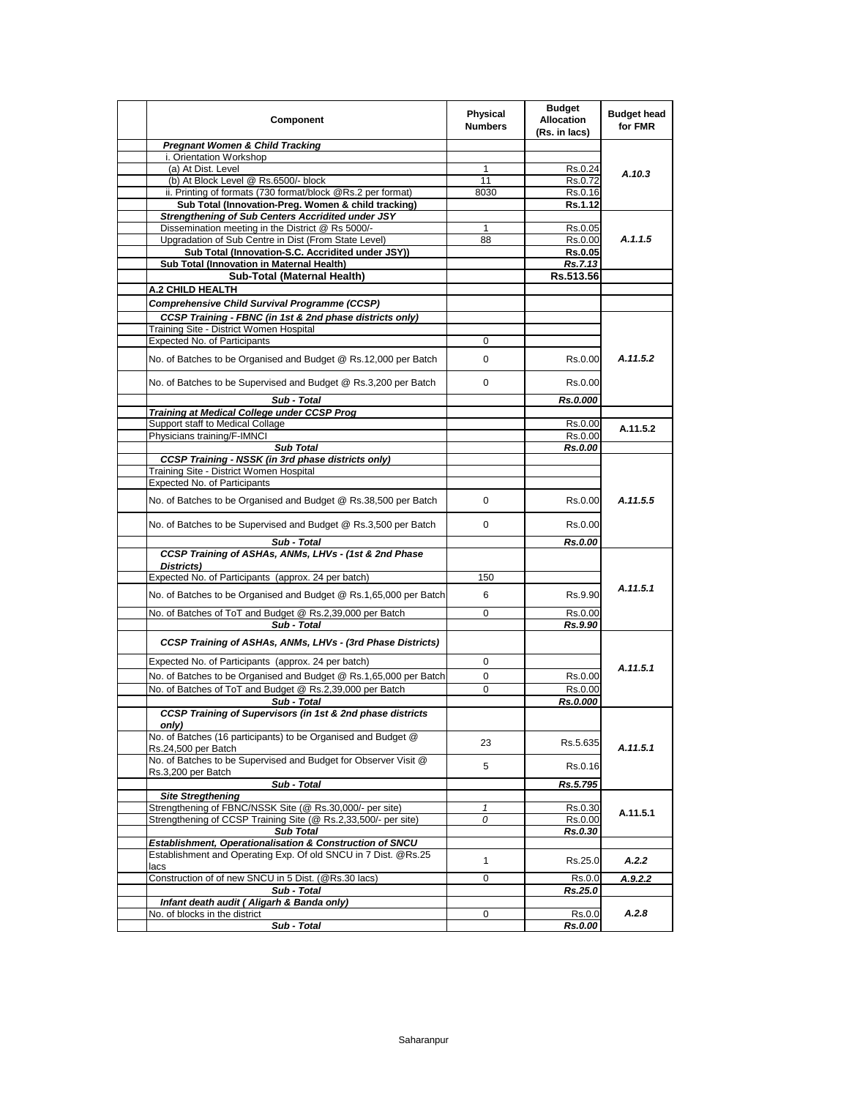| Component                                                                                                       | Physical<br><b>Numbers</b> | <b>Budget</b><br><b>Allocation</b><br>(Rs. in lacs) | <b>Budget head</b><br>for FMR |
|-----------------------------------------------------------------------------------------------------------------|----------------------------|-----------------------------------------------------|-------------------------------|
| <b>Pregnant Women &amp; Child Tracking</b>                                                                      |                            |                                                     |                               |
| i. Orientation Workshop                                                                                         |                            |                                                     |                               |
| (a) At Dist. Level                                                                                              | 1                          | Rs.0.24                                             | A.10.3                        |
| (b) At Block Level @ Rs.6500/- block                                                                            | 11                         | Rs.0.72                                             |                               |
| ii. Printing of formats (730 format/block @Rs.2 per format)                                                     | 8030                       | Rs.0.16                                             |                               |
| Sub Total (Innovation-Preg. Women & child tracking)<br><b>Strengthening of Sub Centers Accridited under JSY</b> |                            | Rs.1.12                                             |                               |
| Dissemination meeting in the District @ Rs 5000/-                                                               | 1                          | Rs.0.05                                             |                               |
| Upgradation of Sub Centre in Dist (From State Level)                                                            | 88                         | Rs.0.00                                             | A.1.1.5                       |
| Sub Total (Innovation-S.C. Accridited under JSY))                                                               |                            | <b>Rs.0.05</b>                                      |                               |
| Sub Total (Innovation in Maternal Health)                                                                       |                            | Rs.7.13                                             |                               |
| Sub-Total (Maternal Health)                                                                                     |                            | Rs.513.56                                           |                               |
| A.2 CHILD HEALTH                                                                                                |                            |                                                     |                               |
| Comprehensive Child Survival Programme (CCSP)                                                                   |                            |                                                     |                               |
|                                                                                                                 |                            |                                                     |                               |
| CCSP Training - FBNC (in 1st & 2nd phase districts only)<br>Training Site - District Women Hospital             |                            |                                                     |                               |
| Expected No. of Participants                                                                                    | 0                          |                                                     |                               |
|                                                                                                                 |                            |                                                     |                               |
| No. of Batches to be Organised and Budget @ Rs.12,000 per Batch                                                 | 0                          | Rs.0.00                                             | A.11.5.2                      |
| No. of Batches to be Supervised and Budget @ Rs.3,200 per Batch                                                 | 0                          | Rs.0.00                                             |                               |
| Sub - Total                                                                                                     |                            | Rs.0.000                                            |                               |
| Training at Medical College under CCSP Prog                                                                     |                            |                                                     |                               |
| Support staff to Medical Collage                                                                                |                            | Rs.0.00                                             | A.11.5.2                      |
| Physicians training/F-IMNCI                                                                                     |                            | Rs.0.00                                             |                               |
| <b>Sub Total</b>                                                                                                |                            | Rs.0.00                                             |                               |
| <b>CCSP Training - NSSK (in 3rd phase districts only)</b>                                                       |                            |                                                     |                               |
| Training Site - District Women Hospital<br><b>Expected No. of Participants</b>                                  |                            |                                                     |                               |
|                                                                                                                 |                            |                                                     |                               |
| No. of Batches to be Organised and Budget @ Rs.38,500 per Batch                                                 | 0                          | Rs.0.00                                             | A.11.5.5                      |
| No. of Batches to be Supervised and Budget @ Rs.3,500 per Batch                                                 | 0                          | Rs.0.00                                             |                               |
| Sub - Total                                                                                                     |                            | Rs.0.00                                             |                               |
| CCSP Training of ASHAs, ANMs, LHVs - (1st & 2nd Phase<br>Districts)                                             |                            |                                                     |                               |
| Expected No. of Participants (approx. 24 per batch)                                                             | 150                        |                                                     |                               |
| No. of Batches to be Organised and Budget @ Rs.1,65,000 per Batch                                               | 6                          | Rs.9.90                                             | A.11.5.1                      |
| No. of Batches of ToT and Budget @ Rs.2,39,000 per Batch                                                        | 0                          | Rs.0.00                                             |                               |
| Sub - Total                                                                                                     |                            | Rs.9.90                                             |                               |
| CCSP Training of ASHAs, ANMs, LHVs - (3rd Phase Districts)                                                      |                            |                                                     |                               |
| Expected No. of Participants (approx. 24 per batch)                                                             | 0                          |                                                     | A.11.5.1                      |
| No. of Batches to be Organised and Budget @ Rs.1,65,000 per Batch                                               | 0                          | Rs.0.00                                             |                               |
| No. of Batches of ToT and Budget @ Rs.2,39,000 per Batch                                                        | 0                          | Rs.0.00                                             |                               |
| Sub - Total                                                                                                     |                            | Rs.0.000                                            |                               |
| CCSP Training of Supervisors (in 1st & 2nd phase districts<br>only)                                             |                            |                                                     |                               |
| No. of Batches (16 participants) to be Organised and Budget @                                                   | 23                         | Rs.5.635                                            | A.11.5.1                      |
| Rs.24,500 per Batch<br>No. of Batches to be Supervised and Budget for Observer Visit @                          | 5                          | Rs.0.16                                             |                               |
| Rs.3,200 per Batch<br>Sub - Total                                                                               |                            | Rs.5.795                                            |                               |
| <b>Site Stregthening</b>                                                                                        |                            |                                                     |                               |
| Strengthening of FBNC/NSSK Site (@ Rs.30,000/- per site)                                                        | $\mathbf{1}$               | Rs.0.30                                             |                               |
| Strengthening of CCSP Training Site (@ Rs.2,33,500/- per site)                                                  | 0                          | Rs.0.00                                             | A.11.5.1                      |
| <b>Sub Total</b>                                                                                                |                            | Rs.0.30                                             |                               |
| <b>Establishment, Operationalisation &amp; Construction of SNCU</b>                                             |                            |                                                     |                               |
| Establishment and Operating Exp. Of old SNCU in 7 Dist. @Rs.25<br>lacs                                          | 1                          | Rs.25.0                                             | A.2.2                         |
| Construction of of new SNCU in 5 Dist. (@Rs.30 lacs)                                                            | 0                          | Rs.0.0                                              | A.9.2.2                       |
| Sub - Total                                                                                                     |                            | Rs.25.0                                             |                               |
| Infant death audit (Aligarh & Banda only)                                                                       |                            |                                                     |                               |
| No. of blocks in the district                                                                                   | 0                          | Rs.0.0                                              | A.2.8                         |
| Sub - Total                                                                                                     |                            | Rs.0.00                                             |                               |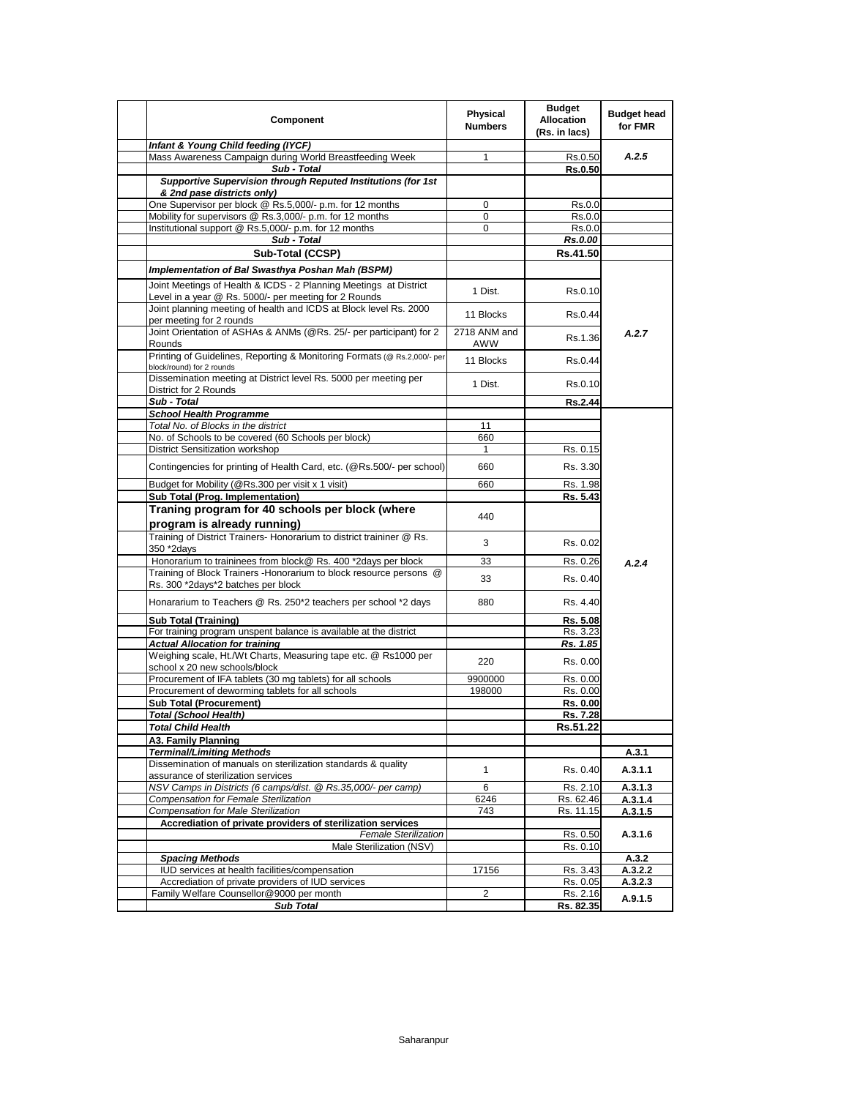| Component                                                                                                  | Physical<br><b>Numbers</b> | <b>Budget</b><br><b>Allocation</b><br>(Rs. in lacs) | <b>Budget head</b><br>for FMR |
|------------------------------------------------------------------------------------------------------------|----------------------------|-----------------------------------------------------|-------------------------------|
| Infant & Young Child feeding (IYCF)                                                                        |                            |                                                     |                               |
| Mass Awareness Campaign during World Breastfeeding Week                                                    | 1                          | Rs.0.50                                             | A.2.5                         |
| Sub - Total                                                                                                |                            | <b>Rs.0.50</b>                                      |                               |
| Supportive Supervision through Reputed Institutions (for 1st<br>& 2nd pase districts only)                 |                            |                                                     |                               |
| One Supervisor per block @ Rs.5,000/- p.m. for 12 months                                                   | 0                          | Rs.0.0                                              |                               |
| Mobility for supervisors @ Rs.3,000/- p.m. for 12 months                                                   | 0                          | Rs.0.0                                              |                               |
| Institutional support @ Rs.5,000/- p.m. for 12 months                                                      | 0                          | Rs.0.0                                              |                               |
| Sub - Total                                                                                                |                            | Rs.0.00                                             |                               |
| Sub-Total (CCSP)                                                                                           |                            | Rs.41.50                                            |                               |
| Implementation of Bal Swasthya Poshan Mah (BSPM)                                                           |                            |                                                     |                               |
| Joint Meetings of Health & ICDS - 2 Planning Meetings at District                                          |                            |                                                     |                               |
| Level in a year @ Rs. 5000/- per meeting for 2 Rounds                                                      | 1 Dist.                    | Rs.0.10                                             |                               |
| Joint planning meeting of health and ICDS at Block level Rs. 2000                                          | 11 Blocks                  | Rs.0.44                                             |                               |
| per meeting for 2 rounds                                                                                   |                            |                                                     |                               |
| Joint Orientation of ASHAs & ANMs (@Rs. 25/- per participant) for 2                                        | 2718 ANM and               | Rs.1.36                                             | A.2.7                         |
| Rounds<br>Printing of Guidelines, Reporting & Monitoring Formats (@ Rs.2,000/- per                         | AWW                        |                                                     |                               |
| block/round) for 2 rounds                                                                                  | 11 Blocks                  | Rs 0.44                                             |                               |
| Dissemination meeting at District level Rs. 5000 per meeting per                                           | 1 Dist.                    | Rs.0.10                                             |                               |
| District for 2 Rounds                                                                                      |                            |                                                     |                               |
| Sub - Total                                                                                                |                            | <b>Rs.2.44</b>                                      |                               |
| <b>School Health Programme</b><br>Total No. of Blocks in the district                                      | 11                         |                                                     |                               |
| No. of Schools to be covered (60 Schools per block)                                                        | 660                        |                                                     |                               |
| District Sensitization workshop                                                                            | 1                          | Rs. 0.15                                            |                               |
|                                                                                                            |                            |                                                     |                               |
| Contingencies for printing of Health Card, etc. (@Rs.500/- per school)                                     | 660                        | Rs. 3.30                                            |                               |
| Budget for Mobility (@Rs.300 per visit x 1 visit)                                                          | 660                        | Rs. 1.98                                            |                               |
| <b>Sub Total (Prog. Implementation)</b>                                                                    |                            | Rs. 5.43                                            |                               |
| Traning program for 40 schools per block (where                                                            | 440                        |                                                     |                               |
| program is already running)                                                                                |                            |                                                     |                               |
| Training of District Trainers- Honorarium to district traininer @ Rs.                                      | 3                          | Rs. 0.02                                            |                               |
| 350 *2days<br>Honorarium to traininees from block@ Rs. 400 *2days per block                                | 33                         | Rs. 0.26                                            | A.2.4                         |
| Training of Block Trainers - Honorarium to block resource persons @                                        |                            |                                                     |                               |
| Rs. 300 *2days*2 batches per block                                                                         | 33                         | Rs. 0.40                                            |                               |
| Honararium to Teachers @ Rs. 250*2 teachers per school *2 days                                             | 880                        | Rs. 4.40                                            |                               |
|                                                                                                            |                            |                                                     |                               |
| <b>Sub Total (Training)</b>                                                                                |                            | Rs. 5.08                                            |                               |
| For training program unspent balance is available at the district<br><b>Actual Allocation for training</b> |                            | Rs. 3.23<br>Rs. 1.85                                |                               |
| Weighing scale, Ht./Wt Charts, Measuring tape etc. @ Rs1000 per                                            |                            |                                                     |                               |
| school x 20 new schools/block                                                                              | 220                        | Rs. 0.00                                            |                               |
| Procurement of IFA tablets (30 mg tablets) for all schools                                                 | 9900000                    | Rs. 0.00                                            |                               |
| Procurement of deworming tablets for all schools                                                           | 198000                     | Rs. 0.00                                            |                               |
| <b>Sub Total (Procurement)</b>                                                                             |                            | Rs. 0.00                                            |                               |
| <b>Total (School Health)</b>                                                                               |                            | Rs. 7.28                                            |                               |
| <b>Total Child Health</b>                                                                                  |                            | Rs.51.22                                            |                               |
| A3. Family Planning<br><b>Terminal/Limiting Methods</b>                                                    |                            |                                                     |                               |
| Dissemination of manuals on sterilization standards & quality                                              |                            |                                                     | A.3.1                         |
| assurance of sterilization services                                                                        | 1                          | Rs. 0.40                                            | A.3.1.1                       |
| NSV Camps in Districts (6 camps/dist. @ Rs.35,000/- per camp)                                              | 6                          | Rs. 2.10                                            | A.3.1.3                       |
| Compensation for Female Sterilization                                                                      | 6246                       | Rs. 62.46                                           | A.3.1.4                       |
| Compensation for Male Sterilization                                                                        | 743                        | Rs. 11.15                                           | A.3.1.5                       |
| Accrediation of private providers of sterilization services                                                |                            |                                                     |                               |
| <b>Female Sterilization</b><br>Male Sterilization (NSV)                                                    |                            | Rs. 0.50                                            | A.3.1.6                       |
| <b>Spacing Methods</b>                                                                                     |                            | Rs. 0.10                                            | A.3.2                         |
| IUD services at health facilities/compensation                                                             | 17156                      | Rs. 3.43                                            | A.3.2.2                       |
| Accrediation of private providers of IUD services                                                          |                            | Rs. 0.05                                            | A.3.2.3                       |
| Family Welfare Counsellor@9000 per month                                                                   | 2                          | Rs. 2.16                                            | A.9.1.5                       |
| <b>Sub Total</b>                                                                                           |                            | Rs. 82.35                                           |                               |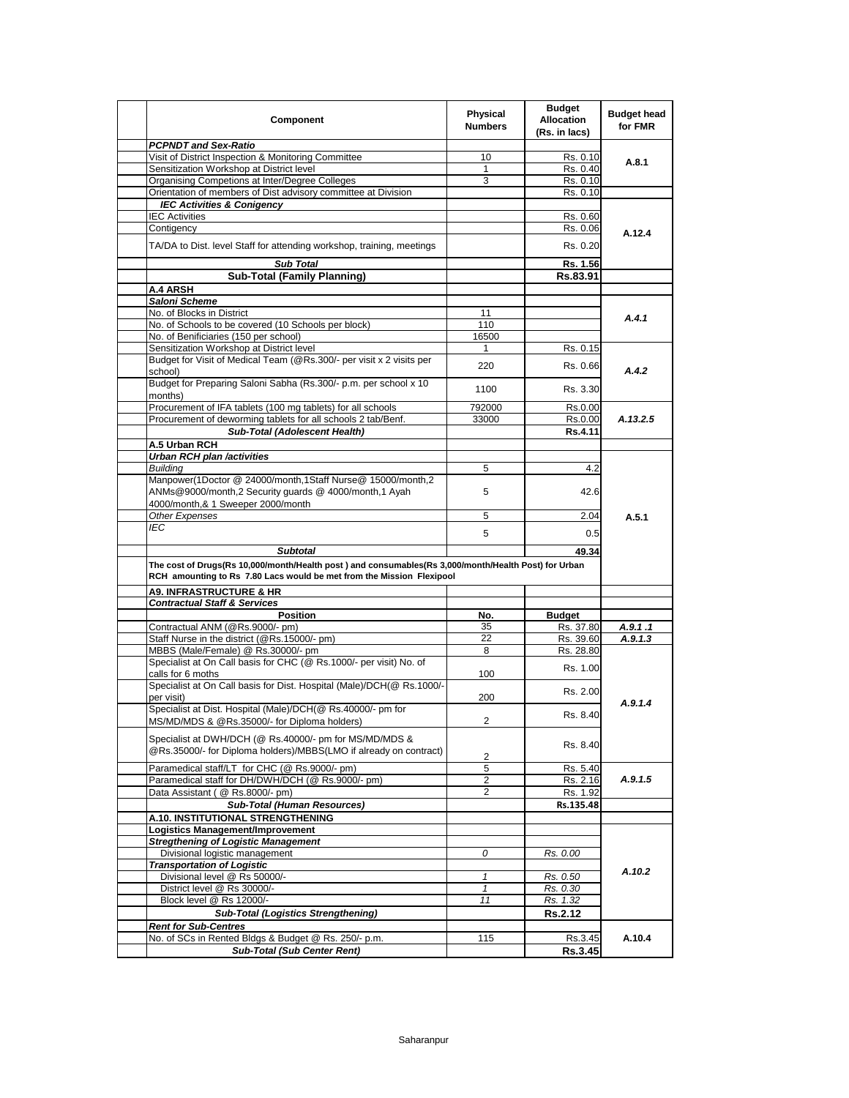| Component                                                                                                                                                                                        | Physical<br><b>Numbers</b> | <b>Budget</b><br><b>Allocation</b><br>(Rs. in lacs) | <b>Budget head</b><br>for FMR |
|--------------------------------------------------------------------------------------------------------------------------------------------------------------------------------------------------|----------------------------|-----------------------------------------------------|-------------------------------|
| <b>PCPNDT and Sex-Ratio</b>                                                                                                                                                                      |                            |                                                     |                               |
| Visit of District Inspection & Monitoring Committee                                                                                                                                              | 10                         | Rs. 0.10                                            | A.8.1                         |
| Sensitization Workshop at District level                                                                                                                                                         | 1                          | Rs. 0.40                                            |                               |
| Organising Competions at Inter/Degree Colleges                                                                                                                                                   | 3                          | Rs. 0.10                                            |                               |
| Orientation of members of Dist advisory committee at Division                                                                                                                                    |                            | Rs. 0.10                                            |                               |
| <b>IEC Activities &amp; Conigency</b>                                                                                                                                                            |                            |                                                     |                               |
| <b>IEC Activities</b>                                                                                                                                                                            |                            | Rs. 0.60                                            |                               |
| Contigency                                                                                                                                                                                       |                            | Rs. 0.06                                            | A.12.4                        |
| TA/DA to Dist. level Staff for attending workshop, training, meetings                                                                                                                            |                            | Rs. 0.20                                            |                               |
| <b>Sub Total</b>                                                                                                                                                                                 |                            | Rs. 1.56                                            |                               |
| <b>Sub-Total (Family Planning)</b>                                                                                                                                                               |                            | Rs.83.91                                            |                               |
| A.4 ARSH                                                                                                                                                                                         |                            |                                                     |                               |
| Saloni Scheme                                                                                                                                                                                    |                            |                                                     |                               |
| No. of Blocks in District                                                                                                                                                                        | 11                         |                                                     | A.4.1                         |
| No. of Schools to be covered (10 Schools per block)                                                                                                                                              | 110                        |                                                     |                               |
| No. of Benificiaries (150 per school)                                                                                                                                                            | 16500                      |                                                     |                               |
| Sensitization Workshop at District level                                                                                                                                                         | 1                          | Rs. 0.15                                            |                               |
| Budget for Visit of Medical Team (@Rs.300/- per visit x 2 visits per<br>school)                                                                                                                  | 220                        | Rs. 0.66                                            | A.4.2                         |
| Budget for Preparing Saloni Sabha (Rs.300/- p.m. per school x 10<br>months)                                                                                                                      | 1100                       | Rs. 3.30                                            |                               |
| Procurement of IFA tablets (100 mg tablets) for all schools                                                                                                                                      | 792000                     | Rs.0.00                                             |                               |
| Procurement of deworming tablets for all schools 2 tab/Benf.                                                                                                                                     | 33000                      |                                                     |                               |
|                                                                                                                                                                                                  |                            | Rs.0.00                                             | A.13.2.5                      |
| Sub-Total (Adolescent Health)                                                                                                                                                                    |                            | Rs.4.11                                             |                               |
| A.5 Urban RCH                                                                                                                                                                                    |                            |                                                     |                               |
| <b>Urban RCH plan /activities</b>                                                                                                                                                                |                            |                                                     |                               |
| <b>Building</b>                                                                                                                                                                                  | 5                          | 4.2                                                 |                               |
| Manpower(1Doctor @ 24000/month,1Staff Nurse@ 15000/month,2<br>ANMs@9000/month,2 Security guards @ 4000/month,1 Ayah                                                                              | 5                          | 42.6                                                |                               |
| 4000/month,& 1 Sweeper 2000/month                                                                                                                                                                |                            |                                                     |                               |
| Other Expenses                                                                                                                                                                                   | 5                          | 2.04                                                | A.5.1                         |
| IEC                                                                                                                                                                                              | 5                          | 0.5                                                 |                               |
|                                                                                                                                                                                                  |                            |                                                     |                               |
| <b>Subtotal</b><br>The cost of Drugs(Rs 10,000/month/Health post) and consumables(Rs 3,000/month/Health Post) for Urban<br>RCH amounting to Rs 7.80 Lacs would be met from the Mission Flexipool |                            | 49.34                                               |                               |
| <b>A9. INFRASTRUCTURE &amp; HR</b>                                                                                                                                                               |                            |                                                     |                               |
| <b>Contractual Staff &amp; Services</b>                                                                                                                                                          |                            |                                                     |                               |
| <b>Position</b>                                                                                                                                                                                  | No.                        | <b>Budget</b>                                       |                               |
| Contractual ANM (@Rs.9000/- pm)                                                                                                                                                                  | 35                         | Rs. 37.80                                           | A.9.1 .1                      |
| Staff Nurse in the district (@Rs.15000/- pm)                                                                                                                                                     | 22                         | Rs. 39.60                                           | A.9.1.3                       |
| MBBS (Male/Female) @ Rs.30000/- pm                                                                                                                                                               | 8                          | Rs. 28.80                                           |                               |
| Specialist at On Call basis for CHC (@ Rs.1000/- per visit) No. of<br>calls for 6 moths                                                                                                          | 100                        | Rs. 1.00                                            |                               |
| Specialist at On Call basis for Dist. Hospital (Male)/DCH(@ Rs.1000/-                                                                                                                            |                            |                                                     |                               |
|                                                                                                                                                                                                  | 200                        | Rs. 2.00                                            |                               |
| per visit)<br>Specialist at Dist. Hospital (Male)/DCH(@ Rs.40000/- pm for                                                                                                                        |                            |                                                     | A.9.1.4                       |
|                                                                                                                                                                                                  |                            | Rs. 8.40                                            |                               |
| MS/MD/MDS & @Rs.35000/- for Diploma holders)<br>Specialist at DWH/DCH (@ Rs.40000/- pm for MS/MD/MDS &                                                                                           | $\overline{c}$             | Rs. 8.40                                            |                               |
| @Rs.35000/- for Diploma holders)/MBBS(LMO if already on contract)                                                                                                                                | 2                          |                                                     |                               |
| Paramedical staff/LT for CHC (@ Rs.9000/- pm)                                                                                                                                                    | 5                          |                                                     |                               |
|                                                                                                                                                                                                  | 2                          | Rs. 5.40                                            | A.9.1.5                       |
| Paramedical staff for DH/DWH/DCH (@ Rs.9000/- pm)                                                                                                                                                | 2                          | Rs. 2.16                                            |                               |
| Data Assistant ( @ Rs.8000/- pm)                                                                                                                                                                 |                            | Rs. 1.92                                            |                               |
| Sub-Total (Human Resources)                                                                                                                                                                      |                            | Rs.135.48                                           |                               |
| A.10. INSTITUTIONAL STRENGTHENING                                                                                                                                                                |                            |                                                     |                               |
| Logistics Management/Improvement                                                                                                                                                                 |                            |                                                     |                               |
| <b>Stregthening of Logistic Management</b>                                                                                                                                                       |                            |                                                     |                               |
| Divisional logistic management                                                                                                                                                                   | 0                          | Rs. 0.00                                            |                               |
| <b>Transportation of Logistic</b>                                                                                                                                                                |                            |                                                     | A.10.2                        |
| Divisional level @ Rs 50000/-                                                                                                                                                                    | $\mathbf{1}$               | Rs. 0.50                                            |                               |
| District level @ Rs 30000/-                                                                                                                                                                      | $\mathbf{1}$               | Rs. 0.30                                            |                               |
| Block level @ Rs 12000/-                                                                                                                                                                         | 11                         | Rs. 1.32                                            |                               |
| <b>Sub-Total (Logistics Strengthening)</b>                                                                                                                                                       |                            | <b>Rs.2.12</b>                                      |                               |
| <b>Rent for Sub-Centres</b>                                                                                                                                                                      |                            |                                                     |                               |
| No. of SCs in Rented Bldgs & Budget @ Rs. 250/- p.m.<br><b>Sub-Total (Sub Center Rent)</b>                                                                                                       | 115                        | Rs.3.45<br>Rs.3.45                                  | A.10.4                        |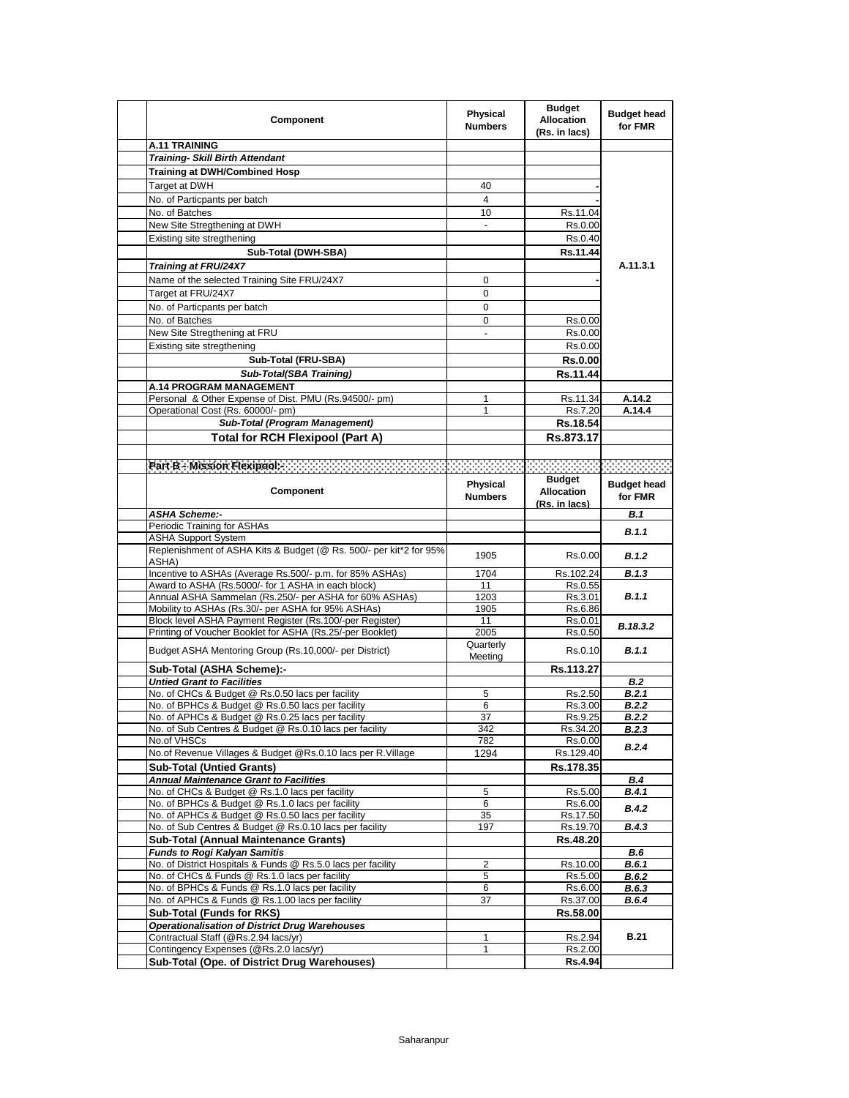| Component                                                                                   | Physical<br><b>Numbers</b> | <b>Budget</b><br><b>Allocation</b><br>(Rs. in lacs) | <b>Budget head</b><br>for FMR |
|---------------------------------------------------------------------------------------------|----------------------------|-----------------------------------------------------|-------------------------------|
| <b>A.11 TRAINING</b>                                                                        |                            |                                                     |                               |
| <b>Training- Skill Birth Attendant</b>                                                      |                            |                                                     |                               |
| Training at DWH/Combined Hosp                                                               |                            |                                                     |                               |
| Target at DWH                                                                               | 40                         |                                                     |                               |
| No. of Particpants per batch                                                                | 4                          |                                                     |                               |
| No. of Batches                                                                              | 10                         | Rs.11.04                                            |                               |
| New Site Stregthening at DWH                                                                |                            | Rs.0.00                                             |                               |
| Existing site stregthening                                                                  |                            | Rs.0.40                                             |                               |
| Sub-Total (DWH-SBA)                                                                         |                            | Rs.11.44                                            |                               |
|                                                                                             |                            |                                                     | A.11.3.1                      |
| Training at FRU/24X7                                                                        |                            |                                                     |                               |
| Name of the selected Training Site FRU/24X7                                                 | 0                          |                                                     |                               |
| Target at FRU/24X7                                                                          | 0                          |                                                     |                               |
| No. of Particpants per batch                                                                | 0                          |                                                     |                               |
| No. of Batches                                                                              | 0                          | Rs.0.00                                             |                               |
| New Site Stregthening at FRU                                                                | $\overline{\phantom{a}}$   | Rs.0.00                                             |                               |
| Existing site stregthening                                                                  |                            | Rs.0.00                                             |                               |
| Sub-Total (FRU-SBA)                                                                         |                            | <b>Rs.0.00</b>                                      |                               |
| Sub-Total(SBA Training)                                                                     |                            | Rs.11.44                                            |                               |
| <b>A.14 PROGRAM MANAGEMENT</b>                                                              |                            |                                                     |                               |
| Personal & Other Expense of Dist. PMU (Rs.94500/- pm)                                       | 1                          | Rs.11.34                                            | A.14.2                        |
| Operational Cost (Rs. 60000/- pm)                                                           | 1                          | Rs.7.20                                             | A.14.4                        |
| Sub-Total (Program Management)                                                              |                            | Rs.18.54                                            |                               |
| <b>Total for RCH Flexipool (Part A)</b>                                                     |                            | Rs.873.17                                           |                               |
|                                                                                             |                            |                                                     |                               |
| Pan B - Mesion Flexpools and and an annual medical contract of the contract of the contract |                            |                                                     |                               |
|                                                                                             |                            | <b>Budget</b>                                       |                               |
| Component                                                                                   | Physical                   | <b>Allocation</b>                                   | <b>Budget head</b>            |
|                                                                                             | <b>Numbers</b>             | (Rs. in lacs)                                       | for FMR                       |
| <b>ASHA Scheme:-</b>                                                                        |                            |                                                     | B.1                           |
| Periodic Training for ASHAs                                                                 |                            |                                                     |                               |
| <b>ASHA Support System</b>                                                                  |                            |                                                     | B.1.1                         |
| Replenishment of ASHA Kits & Budget (@ Rs. 500/- per kit*2 for 95%                          |                            |                                                     |                               |
| ASHA)                                                                                       | 1905                       | Rs.0.00                                             | B.1.2                         |
| Incentive to ASHAs (Average Rs.500/- p.m. for 85% ASHAs)                                    | 1704                       | Rs.102.24                                           | B.1.3                         |
| Award to ASHA (Rs.5000/- for 1 ASHA in each block)                                          | 11                         | Rs.0.55                                             |                               |
| Annual ASHA Sammelan (Rs.250/- per ASHA for 60% ASHAs)                                      | 1203                       | Rs.3.01                                             | <b>B.1.1</b>                  |
| Mobility to ASHAs (Rs.30/- per ASHA for 95% ASHAs)                                          | 1905                       | Rs.6.86                                             |                               |
| Block level ASHA Payment Register (Rs.100/-per Register)                                    | 11                         | Rs.0.01                                             | B.18.3.2                      |
| Printing of Voucher Booklet for ASHA (Rs.25/-per Booklet)                                   | 2005                       | Rs.0.50                                             |                               |
| Budget ASHA Mentoring Group (Rs.10,000/- per District)                                      | Quarterly                  | Rs.0.10                                             | <b>B.1.1</b>                  |
|                                                                                             | Meeting                    |                                                     |                               |
| Sub-Total (ASHA Scheme):-<br><b>Untied Grant to Facilities</b>                              |                            | Rs.113.27                                           |                               |
| No. of CHCs & Budget @ Rs.0.50 lacs per facility                                            | 5                          | Rs.2.50                                             | B.2<br><b>B.2.1</b>           |
| No. of BPHCs & Budget @ Rs.0.50 lacs per facility                                           | 6                          | Rs.3.00                                             | B.2.2                         |
| No. of APHCs & Budget @ Rs.0.25 lacs per facility                                           | 37                         | Rs.9.25                                             | <b>B.2.2</b>                  |
| No. of Sub Centres & Budget @ Rs.0.10 lacs per facility                                     | 342                        | Rs.34.20                                            | <b>B.2.3</b>                  |
| No.of VHSCs                                                                                 | 782                        | Rs.0.00                                             |                               |
| No.of Revenue Villages & Budget @Rs.0.10 lacs per R.Village                                 | 1294                       | Rs.129.40                                           | <b>B.2.4</b>                  |
| <b>Sub-Total (Untied Grants)</b>                                                            |                            | Rs.178.35                                           |                               |
| <b>Annual Maintenance Grant to Facilities</b>                                               |                            |                                                     | <b>B.4</b>                    |
| No. of CHCs & Budget @ Rs.1.0 lacs per facility                                             | 5                          | Rs.5.00                                             | B.4.1                         |
| No. of BPHCs & Budget @ Rs.1.0 lacs per facility                                            | 6                          | Rs.6.00                                             | B.4.2                         |
| No. of APHCs & Budget @ Rs.0.50 lacs per facility                                           | 35                         | Rs.17.50                                            |                               |
| No. of Sub Centres & Budget @ Rs.0.10 lacs per facility                                     | 197                        | Rs.19.70                                            | B.4.3                         |
| <b>Sub-Total (Annual Maintenance Grants)</b>                                                |                            | Rs.48.20                                            |                               |
| <b>Funds to Rogi Kalyan Samitis</b>                                                         |                            |                                                     | B.6                           |
| No. of District Hospitals & Funds @ Rs.5.0 lacs per facility                                | 2                          | Rs.10.00                                            | B.6.1                         |
| No. of CHCs & Funds @ Rs.1.0 lacs per facility                                              | 5                          | Rs.5.00                                             | B.6.2                         |
| No. of BPHCs & Funds @ Rs.1.0 lacs per facility                                             | 6                          | Rs.6.00                                             | B.6.3                         |
| No. of APHCs & Funds @ Rs.1.00 lacs per facility                                            | 37                         | Rs.37.00                                            | B.6.4                         |
| Sub-Total (Funds for RKS)                                                                   |                            | Rs.58.00                                            |                               |
| <b>Operationalisation of District Drug Warehouses</b>                                       |                            |                                                     |                               |
| Contractual Staff (@Rs.2.94 lacs/yr)                                                        | 1                          | Rs.2.94                                             | <b>B.21</b>                   |
| Contingency Expenses (@Rs.2.0 lacs/yr)                                                      | 1                          | Rs.2.00                                             |                               |
| Sub-Total (Ope. of District Drug Warehouses)                                                |                            | Rs.4.94                                             |                               |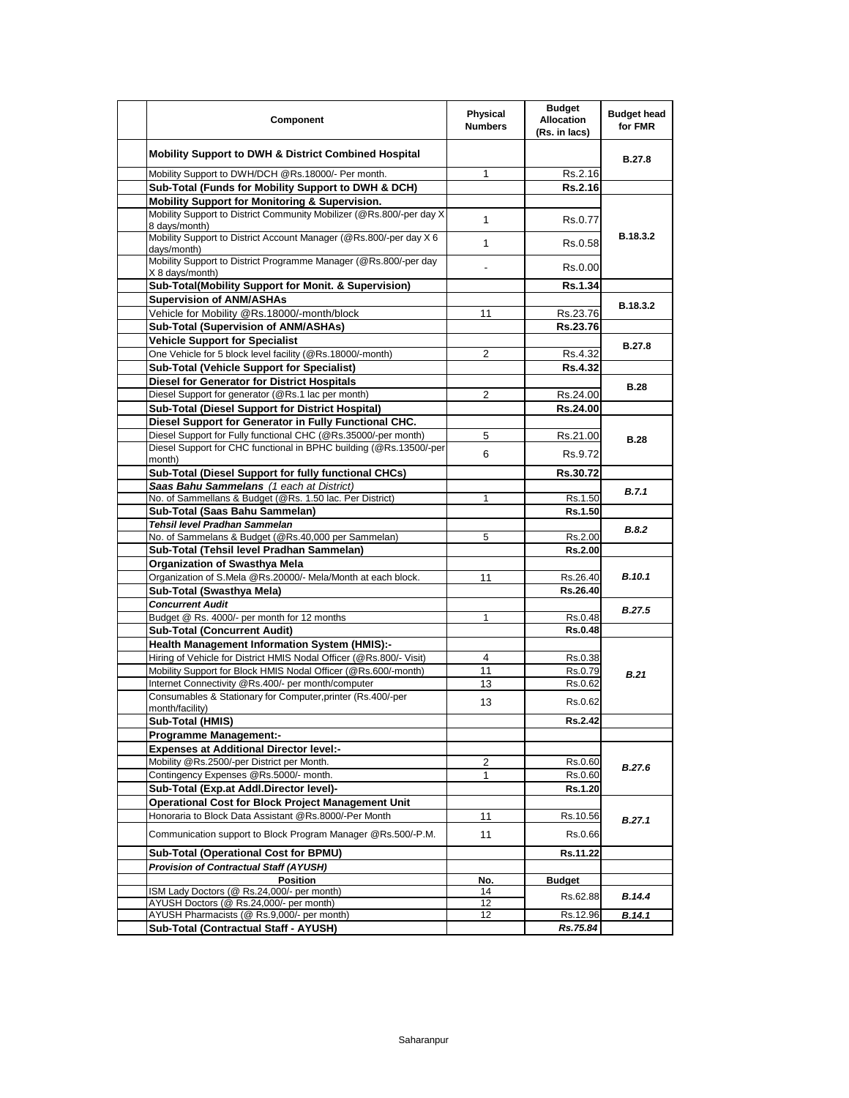| Component                                                                             | Physical<br><b>Numbers</b> | <b>Budget</b><br><b>Allocation</b><br>(Rs. in lacs) | <b>Budget head</b><br>for FMR |
|---------------------------------------------------------------------------------------|----------------------------|-----------------------------------------------------|-------------------------------|
| Mobility Support to DWH & District Combined Hospital                                  |                            |                                                     | <b>B.27.8</b>                 |
| Mobility Support to DWH/DCH @Rs.18000/- Per month.                                    | 1                          | Rs.2.16                                             |                               |
| Sub-Total (Funds for Mobility Support to DWH & DCH)                                   |                            | Rs.2.16                                             |                               |
| <b>Mobility Support for Monitoring &amp; Supervision.</b>                             |                            |                                                     |                               |
| Mobility Support to District Community Mobilizer (@Rs.800/-per day X<br>8 days/month) | 1                          | Rs.0.77                                             |                               |
| Mobility Support to District Account Manager (@Rs.800/-per day X 6<br>days/month)     | $\mathbf{1}$               | Rs.0.58                                             | B.18.3.2                      |
| Mobility Support to District Programme Manager (@Rs.800/-per day<br>X 8 days/month)   |                            | Rs.0.00                                             |                               |
| Sub-Total(Mobility Support for Monit. & Supervision)                                  |                            | <b>Rs.1.34</b>                                      |                               |
| <b>Supervision of ANM/ASHAs</b>                                                       |                            |                                                     |                               |
|                                                                                       |                            |                                                     | B.18.3.2                      |
| Vehicle for Mobility @Rs.18000/-month/block                                           | 11                         | Rs.23.76                                            |                               |
| Sub-Total (Supervision of ANM/ASHAs)                                                  |                            | Rs.23.76                                            |                               |
| <b>Vehicle Support for Specialist</b>                                                 |                            |                                                     | <b>B.27.8</b>                 |
| One Vehicle for 5 block level facility (@Rs.18000/-month)                             | 2                          | Rs.4.32                                             |                               |
| Sub-Total (Vehicle Support for Specialist)                                            |                            | <b>Rs.4.32</b>                                      |                               |
| <b>Diesel for Generator for District Hospitals</b>                                    |                            |                                                     | <b>B.28</b>                   |
| Diesel Support for generator (@Rs.1 lac per month)                                    | 2                          | Rs.24.00                                            |                               |
| Sub-Total (Diesel Support for District Hospital)                                      |                            | Rs.24.00                                            |                               |
| Diesel Support for Generator in Fully Functional CHC.                                 |                            |                                                     |                               |
| Diesel Support for Fully functional CHC (@Rs.35000/-per month)                        | 5                          | Rs.21.00                                            |                               |
| Diesel Support for CHC functional in BPHC building (@Rs.13500/-per                    |                            |                                                     | <b>B.28</b>                   |
| month)                                                                                | 6                          | Rs.9.72                                             |                               |
| Sub-Total (Diesel Support for fully functional CHCs)                                  |                            | Rs.30.72                                            |                               |
| Saas Bahu Sammelans (1 each at District)                                              |                            |                                                     | B.7.1                         |
| No. of Sammellans & Budget (@Rs. 1.50 lac. Per District)                              | 1                          | Rs.1.50                                             |                               |
| Sub-Total (Saas Bahu Sammelan)                                                        |                            | Rs.1.50                                             |                               |
| Tehsil level Pradhan Sammelan                                                         |                            |                                                     | B.8.2                         |
| No. of Sammelans & Budget (@Rs.40,000 per Sammelan)                                   | 5                          | Rs.2.00                                             |                               |
| Sub-Total (Tehsil level Pradhan Sammelan)                                             |                            | Rs.2.00                                             |                               |
| <b>Organization of Swasthya Mela</b>                                                  |                            |                                                     |                               |
| Organization of S.Mela @Rs.20000/- Mela/Month at each block.                          | 11                         | Rs.26.40                                            | <b>B.10.1</b>                 |
| Sub-Total (Swasthya Mela)                                                             |                            | Rs.26.40                                            |                               |
| <b>Concurrent Audit</b>                                                               |                            |                                                     |                               |
| Budget @ Rs. 4000/- per month for 12 months                                           | 1                          | Rs.0.48                                             | <b>B.27.5</b>                 |
| <b>Sub-Total (Concurrent Audit)</b>                                                   |                            | <b>Rs.0.48</b>                                      |                               |
| <b>Health Management Information System (HMIS):-</b>                                  |                            |                                                     |                               |
| Hiring of Vehicle for District HMIS Nodal Officer (@Rs.800/- Visit)                   |                            |                                                     |                               |
|                                                                                       | 4                          | Rs.0.38                                             |                               |
| Mobility Support for Block HMIS Nodal Officer (@Rs.600/-month)                        | 11                         | Rs.0.79                                             | B.21                          |
| Internet Connectivity @Rs.400/- per month/computer                                    | 13                         | Rs.0.62                                             |                               |
| Consumables & Stationary for Computer, printer (Rs.400/-per<br>month/facility)        | 13                         | Rs.0.62                                             |                               |
| Sub-Total (HMIS)                                                                      |                            | Rs.2.42                                             |                               |
| Programme Management:-                                                                |                            |                                                     |                               |
| <b>Expenses at Additional Director level:-</b>                                        |                            |                                                     |                               |
| Mobility @Rs.2500/-per District per Month.                                            | 2                          | Rs.0.60                                             |                               |
| Contingency Expenses @Rs.5000/- month.                                                | $\mathbf{1}$               | Rs.0.60                                             | B.27.6                        |
|                                                                                       |                            |                                                     |                               |
| Sub-Total (Exp.at Addl.Director level)-                                               |                            | Rs.1.20                                             |                               |
| Operational Cost for Block Project Management Unit                                    |                            |                                                     |                               |
| Honoraria to Block Data Assistant @Rs.8000/-Per Month                                 | 11                         | Rs.10.56                                            | B.27.1                        |
| Communication support to Block Program Manager @Rs.500/-P.M.                          | 11                         | Rs.0.66                                             |                               |
| Sub-Total (Operational Cost for BPMU)                                                 |                            | Rs.11.22                                            |                               |
| <b>Provision of Contractual Staff (AYUSH)</b>                                         |                            |                                                     |                               |
| <b>Position</b>                                                                       | No.                        | <b>Budget</b>                                       |                               |
| ISM Lady Doctors (@ Rs.24,000/- per month)                                            | 14                         | Rs.62.88                                            | B.14.4                        |
| AYUSH Doctors (@ Rs.24,000/- per month)                                               | 12                         |                                                     |                               |
| AYUSH Pharmacists (@ Rs.9,000/- per month)                                            | 12                         | Rs.12.96                                            | B.14.1                        |
| Sub-Total (Contractual Staff - AYUSH)                                                 |                            | Rs.75.84                                            |                               |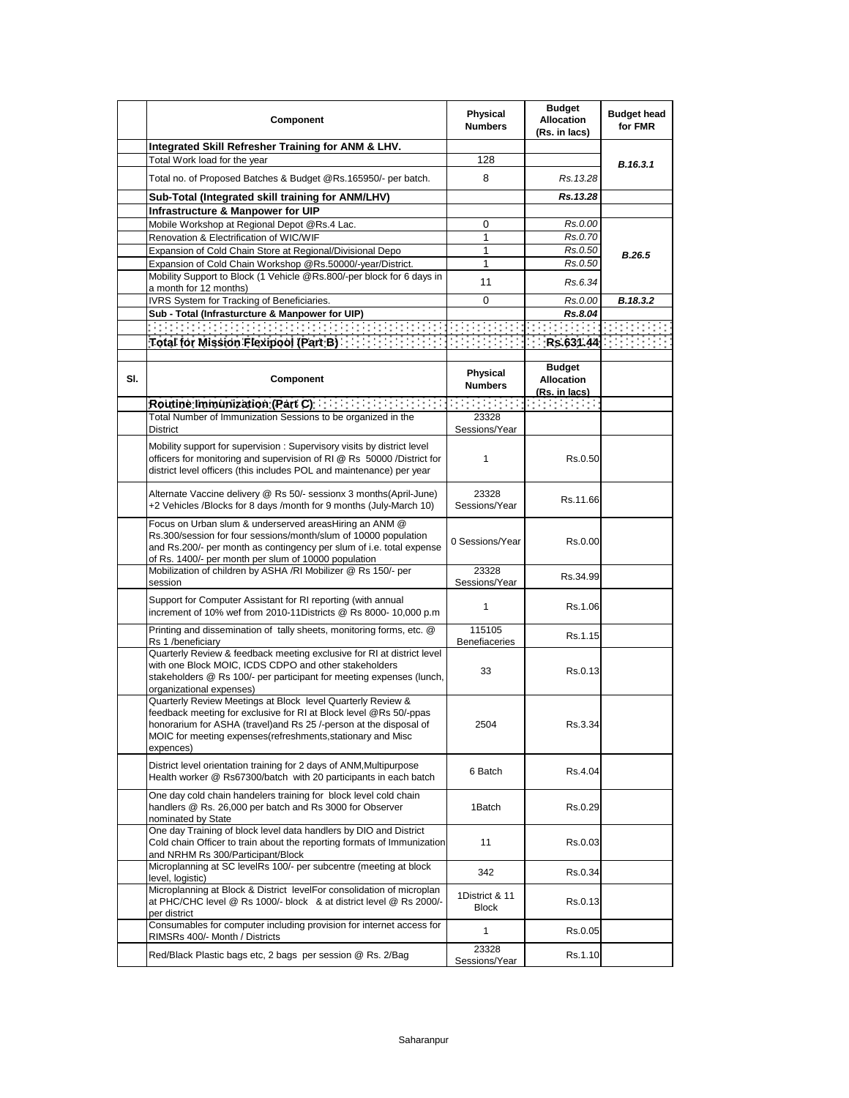|     | Component                                                                                                                                                                                                                                                                          | Physical<br><b>Numbers</b>     | <b>Budget</b><br><b>Allocation</b><br>(Rs. in lacs)                                                                                                             | <b>Budget head</b><br>for FMR |
|-----|------------------------------------------------------------------------------------------------------------------------------------------------------------------------------------------------------------------------------------------------------------------------------------|--------------------------------|-----------------------------------------------------------------------------------------------------------------------------------------------------------------|-------------------------------|
|     | Integrated Skill Refresher Training for ANM & LHV.                                                                                                                                                                                                                                 |                                |                                                                                                                                                                 |                               |
|     | Total Work load for the year                                                                                                                                                                                                                                                       | 128                            |                                                                                                                                                                 | B.16.3.1                      |
|     | Total no. of Proposed Batches & Budget @Rs.165950/- per batch.                                                                                                                                                                                                                     | 8                              | Rs. 13.28                                                                                                                                                       |                               |
|     | Sub-Total (Integrated skill training for ANM/LHV)                                                                                                                                                                                                                                  |                                | Rs.13.28                                                                                                                                                        |                               |
|     | Infrastructure & Manpower for UIP                                                                                                                                                                                                                                                  |                                |                                                                                                                                                                 |                               |
|     | Mobile Workshop at Regional Depot @Rs.4 Lac.                                                                                                                                                                                                                                       | 0                              | Rs.0.00                                                                                                                                                         |                               |
|     | Renovation & Electrification of WIC/WIF                                                                                                                                                                                                                                            | 1                              | Rs.0.70                                                                                                                                                         |                               |
|     | Expansion of Cold Chain Store at Regional/Divisional Depo                                                                                                                                                                                                                          | 1                              | Rs.0.50                                                                                                                                                         | <b>B.26.5</b>                 |
|     | Expansion of Cold Chain Workshop @Rs.50000/-year/District.<br>Mobility Support to Block (1 Vehicle @Rs.800/-per block for 6 days in                                                                                                                                                | 1<br>11                        | Rs.0.50<br>Rs.6.34                                                                                                                                              |                               |
|     | a month for 12 months)                                                                                                                                                                                                                                                             |                                |                                                                                                                                                                 |                               |
|     | IVRS System for Tracking of Beneficiaries.                                                                                                                                                                                                                                         | 0                              | Rs.0.00                                                                                                                                                         | B.18.3.2                      |
|     | Sub - Total (Infrasturcture & Manpower for UIP)                                                                                                                                                                                                                                    |                                | Rs.8.04                                                                                                                                                         |                               |
|     |                                                                                                                                                                                                                                                                                    |                                |                                                                                                                                                                 |                               |
|     |                                                                                                                                                                                                                                                                                    |                                |                                                                                                                                                                 |                               |
| SI. | Component                                                                                                                                                                                                                                                                          | Physical<br><b>Numbers</b>     | <b>Budget</b><br><b>Allocation</b><br>(Rs. in lacs)                                                                                                             |                               |
|     | Routine Immunization (Part C)                                                                                                                                                                                                                                                      |                                | $\mathcal{L}^{\mathcal{L}}_{\mathcal{L}}$ , and the set of $\mathcal{L}^{\mathcal{L}}_{\mathcal{L}}$ , and the set of $\mathcal{L}^{\mathcal{L}}_{\mathcal{L}}$ |                               |
|     | Total Number of Immunization Sessions to be organized in the<br>District                                                                                                                                                                                                           | 23328<br>Sessions/Year         |                                                                                                                                                                 |                               |
|     | Mobility support for supervision: Supervisory visits by district level<br>officers for monitoring and supervision of RI @ Rs 50000 /District for<br>district level officers (this includes POL and maintenance) per year                                                           | 1                              | Rs.0.50                                                                                                                                                         |                               |
|     | Alternate Vaccine delivery @ Rs 50/- sessionx 3 months(April-June)<br>+2 Vehicles /Blocks for 8 days /month for 9 months (July-March 10)                                                                                                                                           | 23328<br>Sessions/Year         | Rs.11.66                                                                                                                                                        |                               |
|     | Focus on Urban slum & underserved areasHiring an ANM @<br>Rs.300/session for four sessions/month/slum of 10000 population<br>and Rs.200/- per month as contingency per slum of i.e. total expense<br>of Rs. 1400/- per month per slum of 10000 population                          | 0 Sessions/Year                | Rs.0.00                                                                                                                                                         |                               |
|     | Mobilization of children by ASHA /RI Mobilizer @ Rs 150/- per<br>session                                                                                                                                                                                                           | 23328<br>Sessions/Year         | Rs.34.99                                                                                                                                                        |                               |
|     | Support for Computer Assistant for RI reporting (with annual<br>increment of 10% wef from 2010-11Districts @ Rs 8000- 10,000 p.m                                                                                                                                                   | 1                              | Rs.1.06                                                                                                                                                         |                               |
|     | Printing and dissemination of tally sheets, monitoring forms, etc. @<br>Rs 1 /beneficiarv                                                                                                                                                                                          | 115105<br><b>Benefiaceries</b> | Rs.1.15                                                                                                                                                         |                               |
|     | Quarterly Review & feedback meeting exclusive for RI at district level<br>with one Block MOIC, ICDS CDPO and other stakeholders<br>stakeholders @ Rs 100/- per participant for meeting expenses (lunch,<br>organizational expenses)                                                | 33                             | Rs.0.13                                                                                                                                                         |                               |
|     | Quarterly Review Meetings at Block level Quarterly Review &<br>feedback meeting for exclusive for RI at Block level @Rs 50/-ppas<br>honorarium for ASHA (travel)and Rs 25 /-person at the disposal of<br>MOIC for meeting expenses (refreshments, stationary and Misc<br>expences) | 2504                           | Rs.3.34                                                                                                                                                         |                               |
|     | District level orientation training for 2 days of ANM, Multipurpose<br>Health worker @ Rs67300/batch with 20 participants in each batch                                                                                                                                            | 6 Batch                        | Rs.4.04                                                                                                                                                         |                               |
|     | One day cold chain handelers training for block level cold chain<br>handlers @ Rs. 26,000 per batch and Rs 3000 for Observer<br>nominated by State                                                                                                                                 | 1Batch                         | Rs.0.29                                                                                                                                                         |                               |
|     | One day Training of block level data handlers by DIO and District<br>Cold chain Officer to train about the reporting formats of Immunization<br>and NRHM Rs 300/Participant/Block                                                                                                  | 11                             | Rs.0.03                                                                                                                                                         |                               |
|     | Microplanning at SC levelRs 100/- per subcentre (meeting at block<br>level, logistic)                                                                                                                                                                                              | 342                            | Rs.0.34                                                                                                                                                         |                               |
|     | Microplanning at Block & District levelFor consolidation of microplan<br>at PHC/CHC level @ Rs 1000/- block & at district level @ Rs 2000/-<br>per district                                                                                                                        | 1District & 11<br>Block        | Rs.0.13                                                                                                                                                         |                               |
|     | Consumables for computer including provision for internet access for<br>RIMSRs 400/- Month / Districts                                                                                                                                                                             | 1                              | Rs.0.05                                                                                                                                                         |                               |
|     | Red/Black Plastic bags etc, 2 bags per session @ Rs. 2/Bag                                                                                                                                                                                                                         | 23328<br>Sessions/Year         | Rs.1.10                                                                                                                                                         |                               |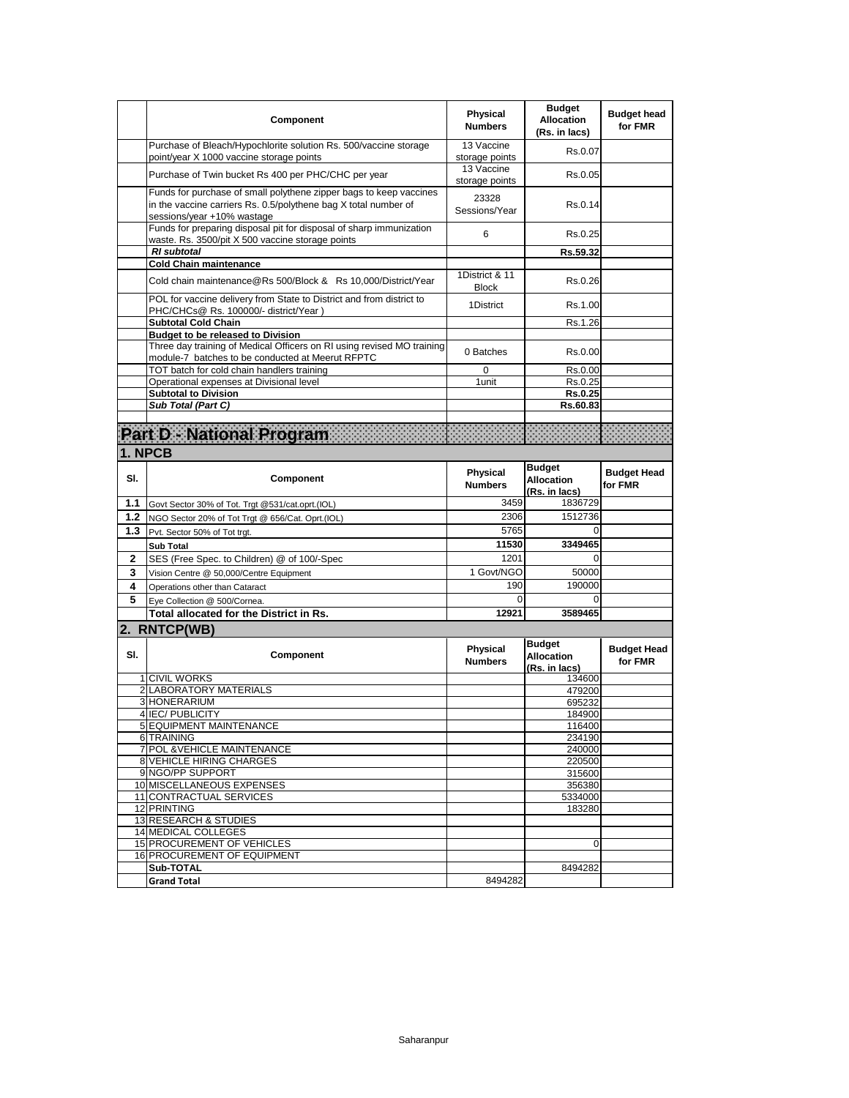|             | Component                                                                                                                                                           | <b>Physical</b><br><b>Numbers</b> | <b>Budget</b><br><b>Allocation</b><br>(Rs. in lacs) | <b>Budget head</b><br>for FMR |
|-------------|---------------------------------------------------------------------------------------------------------------------------------------------------------------------|-----------------------------------|-----------------------------------------------------|-------------------------------|
|             | Purchase of Bleach/Hypochlorite solution Rs. 500/vaccine storage<br>point/year X 1000 vaccine storage points                                                        | 13 Vaccine<br>storage points      | Rs.0.07                                             |                               |
|             | Purchase of Twin bucket Rs 400 per PHC/CHC per year                                                                                                                 | 13 Vaccine<br>storage points      | Rs.0.05                                             |                               |
|             | Funds for purchase of small polythene zipper bags to keep vaccines<br>in the vaccine carriers Rs. 0.5/polythene bag X total number of<br>sessions/year +10% wastage | 23328<br>Sessions/Year            | Rs.0.14                                             |                               |
|             | Funds for preparing disposal pit for disposal of sharp immunization<br>waste. Rs. 3500/pit X 500 vaccine storage points                                             | 6                                 | Rs.0.25                                             |                               |
|             | <b>RI</b> subtotal                                                                                                                                                  |                                   | Rs.59.32                                            |                               |
|             | <b>Cold Chain maintenance</b>                                                                                                                                       | 1District & 11                    |                                                     |                               |
|             | Cold chain maintenance@Rs 500/Block & Rs 10,000/District/Year                                                                                                       | <b>Block</b>                      | Rs.0.26                                             |                               |
|             | POL for vaccine delivery from State to District and from district to<br>PHC/CHCs@ Rs. 100000/- district/Year)                                                       | 1District                         | Rs.1.00                                             |                               |
|             | <b>Subtotal Cold Chain</b>                                                                                                                                          |                                   | Rs.1.26                                             |                               |
|             | <b>Budget to be released to Division</b><br>Three day training of Medical Officers on RI using revised MO training                                                  |                                   |                                                     |                               |
|             | module-7 batches to be conducted at Meerut RFPTC                                                                                                                    | 0 Batches                         | Rs.0.00                                             |                               |
|             | TOT batch for cold chain handlers training<br>Operational expenses at Divisional level                                                                              | 0<br>1unit                        | Rs.0.00<br>Rs.0.25                                  |                               |
|             | <b>Subtotal to Division</b>                                                                                                                                         |                                   | <b>Rs.0.25</b>                                      |                               |
|             | Sub Total (Part C)                                                                                                                                                  |                                   | Rs.60.83                                            |                               |
|             |                                                                                                                                                                     |                                   |                                                     |                               |
|             | Part D - National Program                                                                                                                                           |                                   |                                                     |                               |
|             | 1. NPCB                                                                                                                                                             |                                   |                                                     |                               |
|             |                                                                                                                                                                     |                                   | <b>Budget</b>                                       |                               |
| SI.         | Component                                                                                                                                                           | <b>Physical</b><br><b>Numbers</b> | Allocation<br>(Rs. in lacs)                         | <b>Budget Head</b><br>for FMR |
| 1.1         | Govt Sector 30% of Tot. Trgt @531/cat.oprt.(IOL)                                                                                                                    | 3459                              | 1836729                                             |                               |
| 1.2         | NGO Sector 20% of Tot Trgt @ 656/Cat. Oprt.(IOL)                                                                                                                    | 2306                              | 1512736                                             |                               |
| 1.3         | Pvt. Sector 50% of Tot trgt.                                                                                                                                        | 5765                              | 0                                                   |                               |
|             | <b>Sub Total</b>                                                                                                                                                    | 11530                             | 3349465                                             |                               |
| $\mathbf 2$ | SES (Free Spec. to Children) @ of 100/-Spec                                                                                                                         | 1201                              | 0                                                   |                               |
| 3           | Vision Centre @ 50,000/Centre Equipment                                                                                                                             | 1 Govt/NGO                        | 50000                                               |                               |
| 4           | Operations other than Cataract                                                                                                                                      | 190                               | 190000                                              |                               |
| 5           | Eye Collection @ 500/Cornea.                                                                                                                                        | 0                                 | $\Omega$                                            |                               |
|             | Total allocated for the District in Rs.                                                                                                                             | 12921                             | 3589465                                             |                               |
|             | 2. RNTCP(WB)                                                                                                                                                        |                                   |                                                     |                               |
| SI.         |                                                                                                                                                                     |                                   |                                                     |                               |
|             | Component                                                                                                                                                           | Physical<br><b>Numbers</b>        | <b>Budget</b><br><b>Allocation</b><br>(Rs. in lacs) | <b>Budget Head</b><br>for FMR |
|             | 1 CIVIL WORKS                                                                                                                                                       |                                   | 134600                                              |                               |
|             | 2 LABORATORY MATERIALS                                                                                                                                              |                                   | 479200                                              |                               |
|             | 3 HONERARIUM                                                                                                                                                        |                                   | 695232                                              |                               |
|             | 4 IEC/ PUBLICITY                                                                                                                                                    |                                   | 184900                                              |                               |
|             | 5 EQUIPMENT MAINTENANCE                                                                                                                                             |                                   | 116400                                              |                               |
|             | 6 TRAINING<br>7 POL & VEHICLE MAINTENANCE                                                                                                                           |                                   | 234190<br>240000                                    |                               |
|             | <b>8 VEHICLE HIRING CHARGES</b>                                                                                                                                     |                                   | 220500                                              |                               |
|             | 9 NGO/PP SUPPORT                                                                                                                                                    |                                   | 315600                                              |                               |
|             | 10 MISCELLANEOUS EXPENSES                                                                                                                                           |                                   | 356380                                              |                               |
|             | 11 CONTRACTUAL SERVICES                                                                                                                                             |                                   | 5334000                                             |                               |
|             | 12 PRINTING                                                                                                                                                         |                                   | 183280                                              |                               |
|             | <b>13 RESEARCH &amp; STUDIES</b><br>14 MEDICAL COLLEGES                                                                                                             |                                   |                                                     |                               |
|             | 15 PROCUREMENT OF VEHICLES                                                                                                                                          |                                   | 0                                                   |                               |
|             | 16 PROCUREMENT OF EQUIPMENT                                                                                                                                         |                                   |                                                     |                               |
|             | Sub-TOTAL<br><b>Grand Total</b>                                                                                                                                     | 8494282                           | 8494282                                             |                               |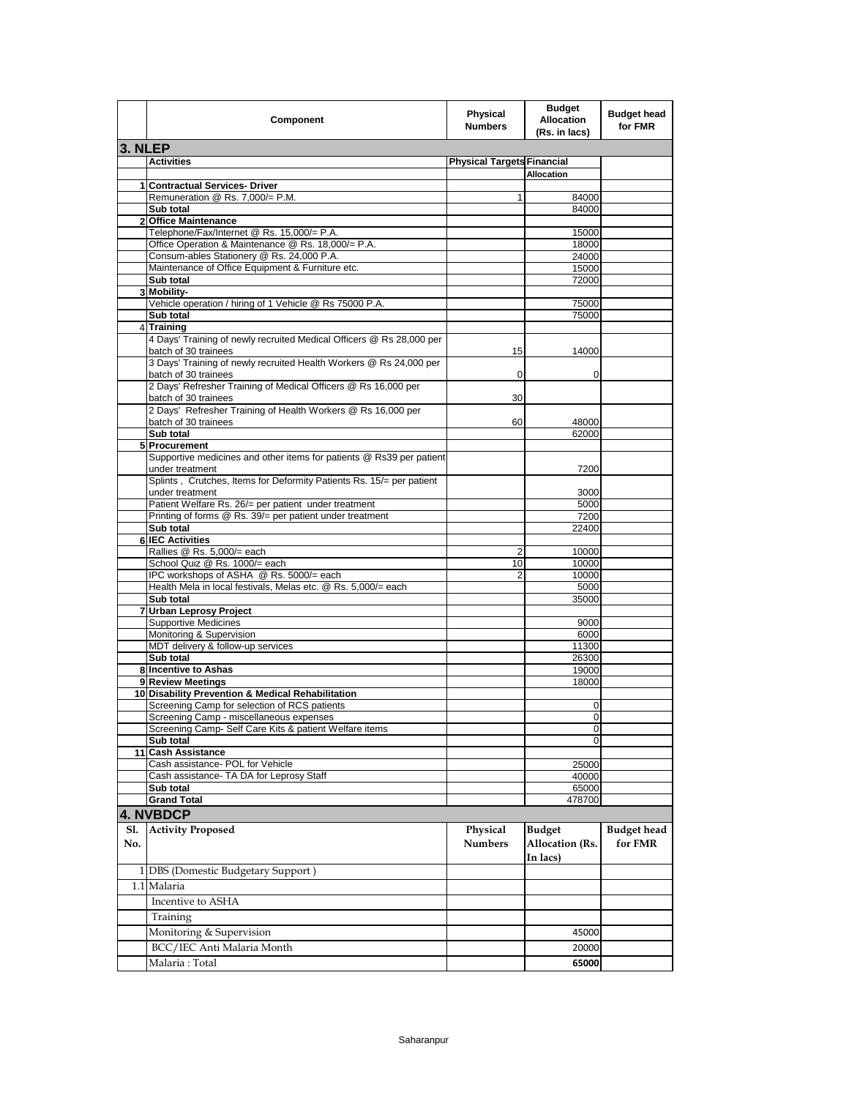|         | Component                                                                                    | Physical<br><b>Numbers</b>        | <b>Budget</b><br><b>Allocation</b><br>(Rs. in lacs) | <b>Budget head</b><br>for FMR |
|---------|----------------------------------------------------------------------------------------------|-----------------------------------|-----------------------------------------------------|-------------------------------|
| 3. NLEP |                                                                                              |                                   |                                                     |                               |
|         | <b>Activities</b>                                                                            | <b>Physical Targets Financial</b> |                                                     |                               |
|         |                                                                                              |                                   | <b>Allocation</b>                                   |                               |
|         | 1 Contractual Services- Driver<br>Remuneration @ Rs. 7,000/= P.M.                            |                                   | 84000                                               |                               |
|         | Sub total                                                                                    | 1                                 | 84000                                               |                               |
|         | 2 Office Maintenance                                                                         |                                   |                                                     |                               |
|         | Telephone/Fax/Internet @ Rs. 15,000/= P.A.                                                   |                                   | 15000                                               |                               |
|         | Office Operation & Maintenance @ Rs. 18,000/= P.A.                                           |                                   | 18000                                               |                               |
|         | Consum-ables Stationery @ Rs. 24,000 P.A.                                                    |                                   | 24000                                               |                               |
|         | Maintenance of Office Equipment & Furniture etc.                                             |                                   | 15000                                               |                               |
|         | Sub total<br>3 Mobility-                                                                     |                                   | 72000                                               |                               |
|         | Vehicle operation / hiring of 1 Vehicle @ Rs 75000 P.A.                                      |                                   | 75000                                               |                               |
|         | Sub total                                                                                    |                                   | 75000                                               |                               |
|         | 4 Training                                                                                   |                                   |                                                     |                               |
|         | 4 Days' Training of newly recruited Medical Officers @ Rs 28,000 per<br>batch of 30 trainees | 15                                | 14000                                               |                               |
|         | 3 Days' Training of newly recruited Health Workers @ Rs 24,000 per<br>batch of 30 trainees   | 0                                 | 0                                                   |                               |
|         | 2 Days' Refresher Training of Medical Officers @ Rs 16,000 per<br>batch of 30 trainees       | 30                                |                                                     |                               |
|         | 2 Days' Refresher Training of Health Workers @ Rs 16,000 per<br>batch of 30 trainees         | 60                                | 48000                                               |                               |
|         | Sub total                                                                                    |                                   | 62000                                               |                               |
|         | 5 Procurement                                                                                |                                   |                                                     |                               |
|         | Supportive medicines and other items for patients @ Rs39 per patient<br>under treatment      |                                   | 7200                                                |                               |
|         | Splints, Crutches, Items for Deformity Patients Rs. 15/= per patient<br>under treatment      |                                   | 3000                                                |                               |
|         | Patient Welfare Rs. 26/= per patient under treatment                                         |                                   | 5000                                                |                               |
|         | Printing of forms @ Rs. 39/= per patient under treatment                                     |                                   | 7200                                                |                               |
|         | Sub total                                                                                    |                                   | 22400                                               |                               |
|         | <b>6 IEC Activities</b><br>Rallies @ Rs. 5,000/= each                                        | 2                                 | 10000                                               |                               |
|         | School Quiz @ Rs. 1000/= each                                                                | 10                                | 10000                                               |                               |
|         | IPC workshops of ASHA @ Rs. 5000/= each                                                      | $\overline{2}$                    | 10000                                               |                               |
|         | Health Mela in local festivals, Melas etc. @ Rs. 5,000/= each                                |                                   | 5000                                                |                               |
|         | Sub total                                                                                    |                                   | 35000                                               |                               |
|         | 7 Urban Leprosy Project                                                                      |                                   |                                                     |                               |
|         | <b>Supportive Medicines</b>                                                                  |                                   | 9000                                                |                               |
|         | Monitoring & Supervision<br>MDT delivery & follow-up services                                |                                   | 6000                                                |                               |
|         | Sub total                                                                                    |                                   | 11300<br>26300                                      |                               |
|         | 8 Incentive to Ashas                                                                         |                                   | 19000                                               |                               |
|         | 9 Review Meetings                                                                            |                                   | 18000                                               |                               |
|         | 10 Disability Prevention & Medical Rehabilitation                                            |                                   |                                                     |                               |
|         | Screening Camp for selection of RCS patients                                                 |                                   | 0                                                   |                               |
|         | Screening Camp - miscellaneous expenses                                                      |                                   | $\overline{0}$                                      |                               |
|         | Screening Camp- Self Care Kits & patient Welfare items                                       |                                   | 0                                                   |                               |
| 11      | Sub total<br><b>Cash Assistance</b>                                                          |                                   | 0                                                   |                               |
|         | Cash assistance- POL for Vehicle                                                             |                                   | 25000                                               |                               |
|         | Cash assistance- TA DA for Leprosy Staff                                                     |                                   | 40000                                               |                               |
|         | Sub total                                                                                    |                                   | 65000                                               |                               |
|         | <b>Grand Total</b>                                                                           |                                   | 478700                                              |                               |
|         | <b>4. NVBDCP</b>                                                                             |                                   |                                                     |                               |
| No.     | Sl. Activity Proposed                                                                        | Physical<br><b>Numbers</b>        | <b>Budget</b><br><b>Allocation</b> (Rs.<br>In lacs) | <b>Budget head</b><br>for FMR |
|         | 1 DBS (Domestic Budgetary Support)                                                           |                                   |                                                     |                               |
|         |                                                                                              |                                   |                                                     |                               |
|         | 1.1 Malaria                                                                                  |                                   |                                                     |                               |
|         | Incentive to ASHA                                                                            |                                   |                                                     |                               |
|         | Training                                                                                     |                                   |                                                     |                               |
|         | Monitoring & Supervision                                                                     |                                   | 45000                                               |                               |
|         | BCC/IEC Anti Malaria Month                                                                   |                                   | 20000                                               |                               |
|         | Malaria: Total                                                                               |                                   | 65000                                               |                               |